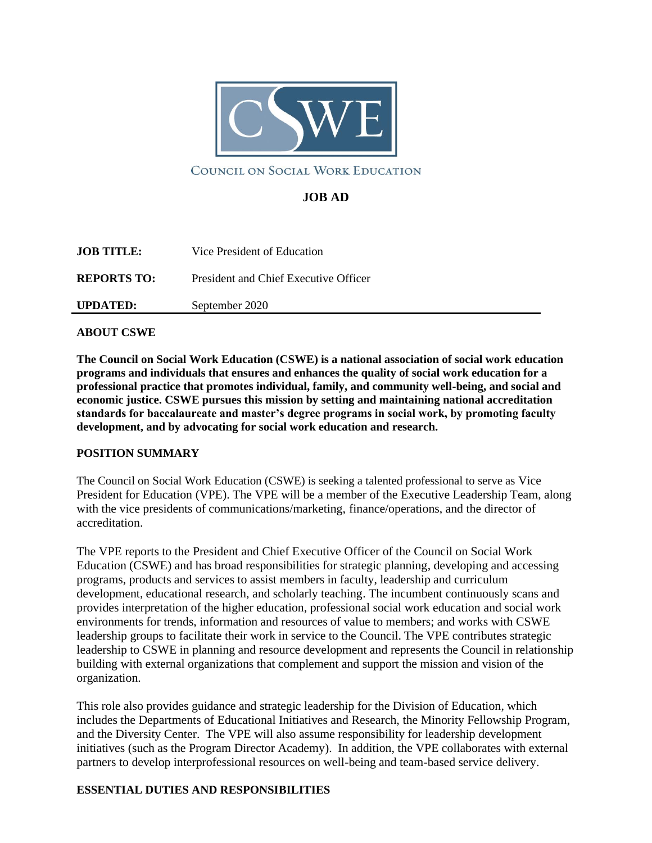

### COUNCIL ON SOCIAL WORK EDUCATION

## **JOB AD**

| <b>JOB TITLE:</b>  | Vice President of Education           |
|--------------------|---------------------------------------|
| <b>REPORTS TO:</b> | President and Chief Executive Officer |
| <b>UPDATED:</b>    | September 2020                        |

#### **ABOUT CSWE**

**The Council on Social Work Education (CSWE) is a national association of social work education programs and individuals that ensures and enhances the quality of social work education for a professional practice that promotes individual, family, and community well-being, and social and economic justice. CSWE pursues this mission by setting and maintaining national accreditation standards for baccalaureate and master's degree programs in social work, by promoting faculty development, and by advocating for social work education and research.**

### **POSITION SUMMARY**

The Council on Social Work Education (CSWE) is seeking a talented professional to serve as Vice President for Education (VPE). The VPE will be a member of the Executive Leadership Team, along with the vice presidents of communications/marketing, finance/operations, and the director of accreditation.

The VPE reports to the President and Chief Executive Officer of the Council on Social Work Education (CSWE) and has broad responsibilities for strategic planning, developing and accessing programs, products and services to assist members in faculty, leadership and curriculum development, educational research, and scholarly teaching. The incumbent continuously scans and provides interpretation of the higher education, professional social work education and social work environments for trends, information and resources of value to members; and works with CSWE leadership groups to facilitate their work in service to the Council. The VPE contributes strategic leadership to CSWE in planning and resource development and represents the Council in relationship building with external organizations that complement and support the mission and vision of the organization.

This role also provides guidance and strategic leadership for the Division of Education, which includes the Departments of Educational Initiatives and Research, the Minority Fellowship Program, and the Diversity Center. The VPE will also assume responsibility for leadership development initiatives (such as the Program Director Academy). In addition, the VPE collaborates with external partners to develop interprofessional resources on well-being and team-based service delivery.

### **ESSENTIAL DUTIES AND RESPONSIBILITIES**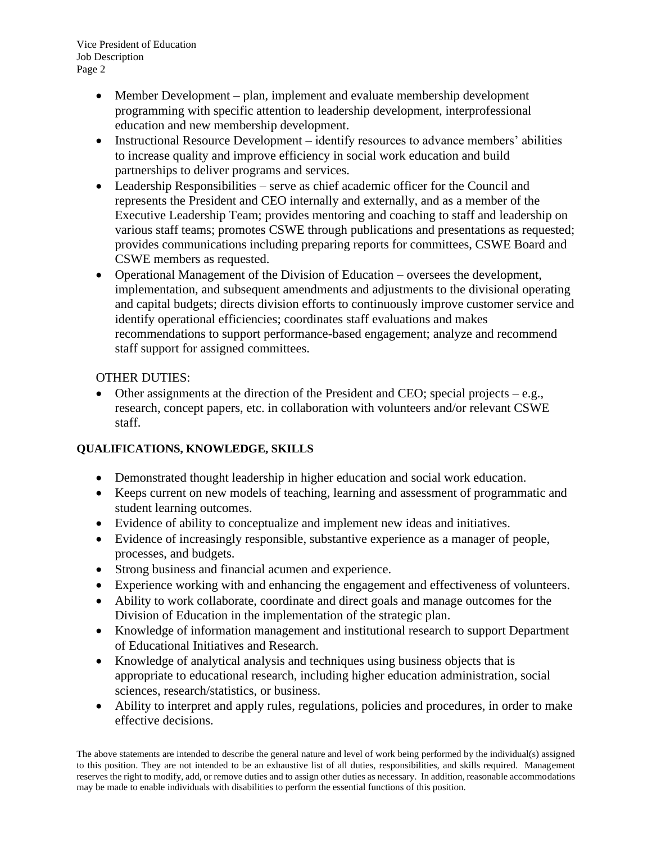Vice President of Education Job Description Page 2

- Member Development plan, implement and evaluate membership development programming with specific attention to leadership development, interprofessional education and new membership development.
- Instructional Resource Development identify resources to advance members' abilities to increase quality and improve efficiency in social work education and build partnerships to deliver programs and services.
- Leadership Responsibilities serve as chief academic officer for the Council and represents the President and CEO internally and externally, and as a member of the Executive Leadership Team; provides mentoring and coaching to staff and leadership on various staff teams; promotes CSWE through publications and presentations as requested; provides communications including preparing reports for committees, CSWE Board and CSWE members as requested.
- Operational Management of the Division of Education oversees the development, implementation, and subsequent amendments and adjustments to the divisional operating and capital budgets; directs division efforts to continuously improve customer service and identify operational efficiencies; coordinates staff evaluations and makes recommendations to support performance-based engagement; analyze and recommend staff support for assigned committees.

## OTHER DUTIES:

• Other assignments at the direction of the President and CEO; special projects  $-e.g.,$ research, concept papers, etc. in collaboration with volunteers and/or relevant CSWE staff.

# **QUALIFICATIONS, KNOWLEDGE, SKILLS**

- Demonstrated thought leadership in higher education and social work education.
- Keeps current on new models of teaching, learning and assessment of programmatic and student learning outcomes.
- Evidence of ability to conceptualize and implement new ideas and initiatives.
- Evidence of increasingly responsible, substantive experience as a manager of people, processes, and budgets.
- Strong business and financial acumen and experience.
- Experience working with and enhancing the engagement and effectiveness of volunteers.
- Ability to work collaborate, coordinate and direct goals and manage outcomes for the Division of Education in the implementation of the strategic plan.
- Knowledge of information management and institutional research to support Department of Educational Initiatives and Research.
- Knowledge of analytical analysis and techniques using business objects that is appropriate to educational research, including higher education administration, social sciences, research/statistics, or business.
- Ability to interpret and apply rules, regulations, policies and procedures, in order to make effective decisions.

The above statements are intended to describe the general nature and level of work being performed by the individual(s) assigned to this position. They are not intended to be an exhaustive list of all duties, responsibilities, and skills required. Management reserves the right to modify, add, or remove duties and to assign other duties as necessary. In addition, reasonable accommodations may be made to enable individuals with disabilities to perform the essential functions of this position.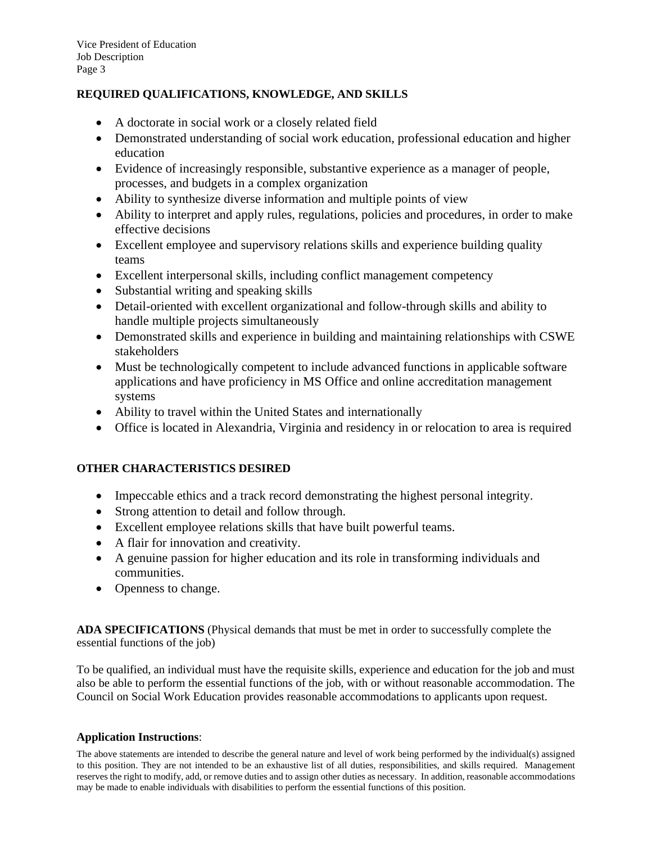### **REQUIRED QUALIFICATIONS, KNOWLEDGE, AND SKILLS**

- A doctorate in social work or a closely related field
- Demonstrated understanding of social work education, professional education and higher education
- Evidence of increasingly responsible, substantive experience as a manager of people, processes, and budgets in a complex organization
- Ability to synthesize diverse information and multiple points of view
- Ability to interpret and apply rules, regulations, policies and procedures, in order to make effective decisions
- Excellent employee and supervisory relations skills and experience building quality teams
- Excellent interpersonal skills, including conflict management competency
- Substantial writing and speaking skills
- Detail-oriented with excellent organizational and follow-through skills and ability to handle multiple projects simultaneously
- Demonstrated skills and experience in building and maintaining relationships with CSWE stakeholders
- Must be technologically competent to include advanced functions in applicable software applications and have proficiency in MS Office and online accreditation management systems
- Ability to travel within the United States and internationally
- Office is located in Alexandria, Virginia and residency in or relocation to area is required

### **OTHER CHARACTERISTICS DESIRED**

- Impeccable ethics and a track record demonstrating the highest personal integrity.
- Strong attention to detail and follow through.
- Excellent employee relations skills that have built powerful teams.
- A flair for innovation and creativity.
- A genuine passion for higher education and its role in transforming individuals and communities.
- Openness to change.

**ADA SPECIFICATIONS** (Physical demands that must be met in order to successfully complete the essential functions of the job)

To be qualified, an individual must have the requisite skills, experience and education for the job and must also be able to perform the essential functions of the job, with or without reasonable accommodation. The Council on Social Work Education provides reasonable accommodations to applicants upon request.

#### **Application Instructions**:

The above statements are intended to describe the general nature and level of work being performed by the individual(s) assigned to this position. They are not intended to be an exhaustive list of all duties, responsibilities, and skills required. Management reserves the right to modify, add, or remove duties and to assign other duties as necessary. In addition, reasonable accommodations may be made to enable individuals with disabilities to perform the essential functions of this position.